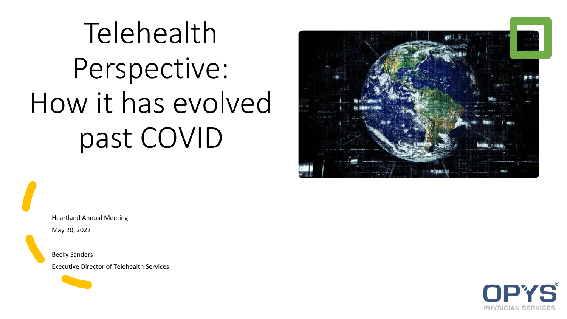# Telehealth Perspective: How it has evolved past COVID



Heartland Annual Meeting May 20, 2022

Becky Sanders

Executive Director of Telehealth Services

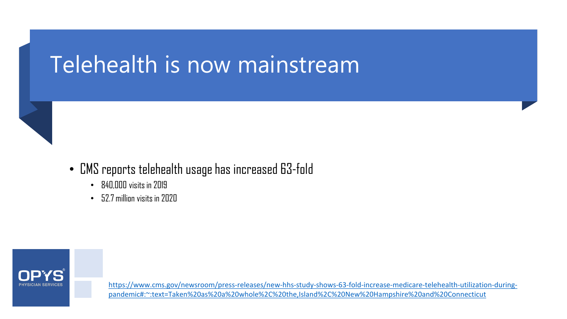## Telehealth is now mainstream

- CMS reports telehealth usage has increased 63-fold
	- 840,000 visits in 2019
	- 52.7 million visits in 2020



[https://www.cms.gov/newsroom/press-releases/new-hhs-study-shows-63-fold-increase-medicare-telehealth-utilization-during](https://www.cms.gov/newsroom/press-releases/new-hhs-study-shows-63-fold-increase-medicare-telehealth-utilization-during-pandemic#:%7E:text=Taken%20as%20a%20whole%2C%20the,Island%2C%20New%20Hampshire%20and%20Connecticut)pandemic#:~:text=Taken%20as%20a%20whole%2C%20the,Island%2C%20New%20Hampshire%20and%20Connecticut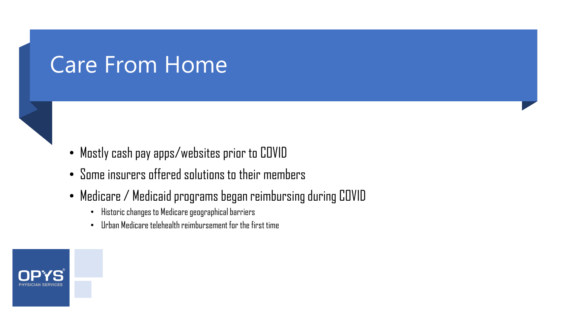### Care From Home

#### • Mostly cash pay apps/websites prior to COVID

- Some insurers offered solutions to their members
- Medicare / Medicaid programs began reimbursing during COVID
	- Historic changes to Medicare geographical barriers
	- Urban Medicare telehealth reimbursement for the first time

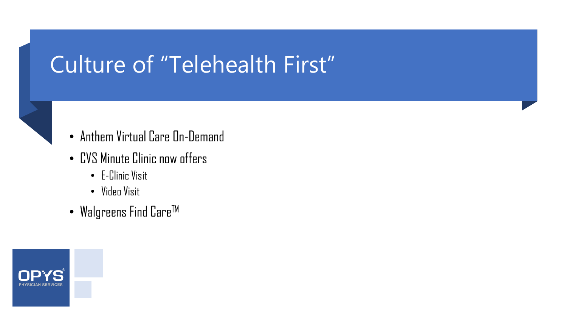## Culture of "Telehealth First"

- Anthem Virtual Care On-Demand
- CVS Minute Clinic now offers
	- E-Clinic Visit
	- Video Visit
- Walgreens Find  $\mathsf{Care}^{\mathsf{TM}}$

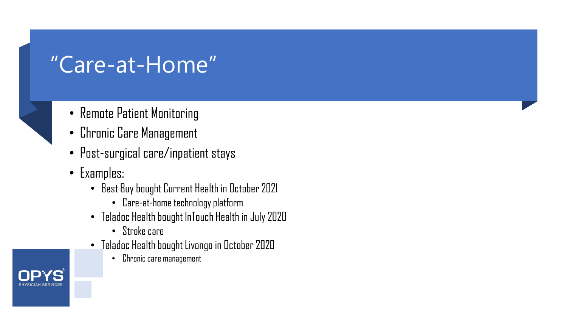## "Care-at-Home"

- Remote Patient Monitoring
- Chronic Care Management
- Post-surgical care/inpatient stays
- Examples:
	- Best Buy bought Current Health in October 2021
		- Care-at-home technology platform
	- Teladoc Health bought InTouch Health in July 2020
		- Stroke care
	- $\bullet$  Teladoc Health bought Livongo in October 2020
		- Chronic care management

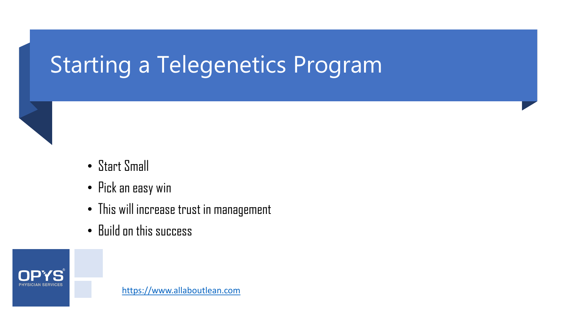## Starting a Telegenetics Program



- Pick an easy win
- This will increase trust in management
- Build on this success

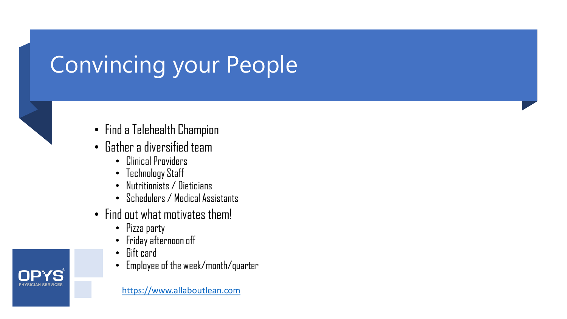## Convincing your People



- Find a Telehealth Champion
- Gather a diversified team
	- Clinical Providers
	- Technology Staff
	- Nutritionists / Dieticians
	- Schedulers / Medical Assistants
- Find out what motivates them!
	- Pizza party
	- Friday afternoon off
	- Gift card
	- Employee of the week/month/quarter

[https://www.allaboutlean.com](https://catalyst.nejm.org/doi/full/10.1056/CAT.18.0193)

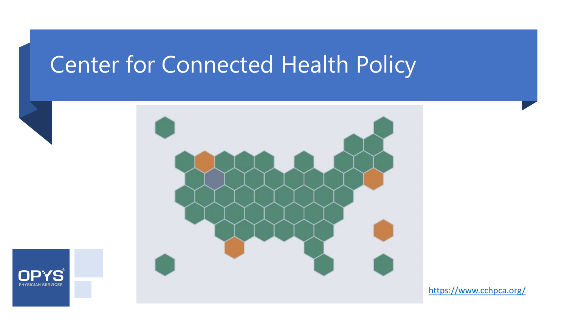## Center for Connected Health Policy





[https://www.cchpca.org/](https://catalyst.nejm.org/doi/full/10.1056/CAT.18.0193)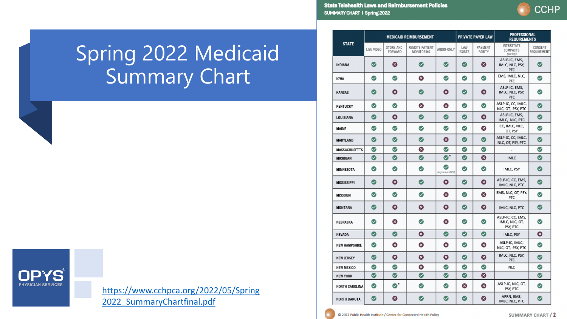**State Telehealth Laws and Reimbursement Policies** SUMMARY CHART I Spring 2022

C 2022 Public Health Institute / Center for Connected Health Policy

| <b>CCHP</b> |
|-------------|
|             |

SUMMARY CHART / 2

| <b>STATE</b>          | <b>MEDICAID REIMBURSEMENT</b> |                       |                                     |                                            | <b>PRIVATE PAYER LAW</b> |                       | <b>PROFESSIONAL</b><br><b>REQUIREMENTS</b>      |                        |
|-----------------------|-------------------------------|-----------------------|-------------------------------------|--------------------------------------------|--------------------------|-----------------------|-------------------------------------------------|------------------------|
|                       | LIVE VIDEO                    | STORE-AND-<br>FORWARD | REMOTE PATIENT<br><b>MONITORING</b> | AUDIO-ONLY                                 | I AW<br><b>EXISTS</b>    | PAYMENT<br>PARITY     | <b>INTERSTATE</b><br>COMPACTS<br>(see key)      | CONSENT<br>REQUIREMENT |
| <b>INDIANA</b>        | Ø                             | Ø                     | $\bm{\omega}$                       | $\bm{\omega}$                              | $\bm{\omega}$            | ఴ                     | ASLP-IC, EMS,<br>IMLC, NLC, PSY,<br>PTC         | $\bm{\omega}$          |
| <b>IOWA</b>           | ☑                             | $\bullet$             | ⊗                                   | Ø                                          | $\bm{\omega}$            | ☑                     | EMS, IMLC, NLC,<br>PTC                          | $\bm{\omega}$          |
| <b>KANSAS</b>         | $\bm{\bm{\omega}}$            | ఴ                     | $\bullet$                           | ☎                                          | $\bullet$                | ☎                     | ASLP-IC, EMS,<br>IMLC, NLC, PSY,<br>PTC         | ◙                      |
| <b>KENTUCKY</b>       | $\bm{\omega}$                 | Ø                     | ☎                                   | ☎                                          | $\bullet$                | $\bullet$             | ASLP-IC, CC, IMLC,<br>NLC, OT, PSY, PTC         | $\bm{\omega}$          |
| LOUISIANA             | $\bullet$                     | $\boldsymbol{\Omega}$ | Ø                                   | $\bullet$                                  | $\bullet$                | $\boldsymbol{\Omega}$ | ASLP-IC, EMS,<br>IMLC, NLC, PTC                 | $\bullet$              |
| <b>MAINE</b>          | ☑                             | ☑                     | ⊘                                   | Ø                                          | ⊘                        | ⊗                     | CC, IMLC, NLC,<br>OT, PSY                       | Ø                      |
| <b>MARYLAND</b>       | Ø                             | Ø                     | $\bullet$                           | $\boldsymbol{\Omega}$                      | $\bullet$                | $\bullet$             | ASLP-IC, CC, IMLC,<br>NLC, OT, PSY, PTC         | Ø                      |
| <b>MASSACHUSETTS</b>  | ◙                             | ☑                     | ⊗                                   | $\bm{\bm{\omega}}$                         | ☑                        | ☑                     | $\sim$                                          | ◙                      |
| <b>MICHIGAN</b>       | $\bullet$                     | Ø                     | Ø                                   | $\bullet$ .                                | Ø                        | Ø                     | <b>IMLC</b>                                     | $\bullet$              |
| <b>MINNESOTA</b>      | Ø                             | ⊘                     | ◙                                   | $\boldsymbol{\omega}$<br>(expires in 2023) | Ø                        | ☑                     | IMLC, PSY                                       | Ø                      |
| <b>MISSISSIPPI</b>    | $\bullet$                     | ☎                     | $\bullet$                           | ⊗                                          | $\bullet$                | ⊗                     | ASLP-IC, CC, EMS,<br>IMLC, NLC, PTC             | $\sim$                 |
| <b>MISSOURI</b>       | $\bm{\bm{\omega}}$            | Ø                     | $\bullet$                           | ☎                                          | $\bm{\bm{\omega}}$       | ☎                     | EMS, NLC, OT, PSY,<br>PTC                       | $\bm{\bm{\omega}}$     |
| <b>MONTANA</b>        | Ø                             | ⊗                     | ⊗                                   | $\boldsymbol{\alpha}$                      | $\bullet$                | $\boldsymbol{\Omega}$ | IMLC, NLC, PTC                                  | Ø                      |
| NEBRASKA              | $\bm{\omega}$                 | ☎                     | ⊘                                   | ⊗                                          | $\bullet$                | ☑                     | ASLP-IC, CC, EMS,<br>IMLC, NLC, OT,<br>PSY, PTC | $\bm{\omega}$          |
| <b>NFVADA</b>         | $\bullet$                     | Ø                     | Ø                                   | $\bullet$                                  | Ø                        | $\bullet$             | IMLC, PSY                                       | ☎                      |
| <b>NEW HAMPSHIRE</b>  | $\bm{\omega}$                 | ⊗                     | $\boldsymbol{\Omega}$               | ⊗                                          | $\bullet$                | $\boldsymbol{\Omega}$ | ASLP-IC, IMLC,<br>NLC, OT, PSY, PTC             | Ø                      |
| <b>NEW JERSEY</b>     | $\bm{\omega}$                 | Ø                     | Ø                                   | ೞ                                          | $\bm{\omega}$            | Ø                     | IMLC, NLC, PSY,<br>PTC                          | $\bullet$              |
| <b>NEW MEXICO</b>     | Ø                             | Ø                     | ⊗                                   | $\bullet$                                  | $\bm{\bm{\omega}}$       | ☑                     | <b>NLC</b>                                      | ◙                      |
| <b>NEW YORK</b>       | $\bullet$                     | $\bullet$             | $\bullet$                           | $\bullet$                                  | ◙                        | $\boldsymbol{\Omega}$ | $\overline{\phantom{a}}$                        | $\bullet$              |
| <b>NORTH CAROLINA</b> | Ø                             | $\bullet^*$           | ⊘                                   | Ø                                          | ⊗                        | ⊗                     | ASLP-IC, NLC, OT,<br>PSY, PTC                   | Ø                      |
| <b>NORTH DAKOTA</b>   | ☑                             | Ø                     | $\bullet$                           | $\bm{\omega}$                              | $\omega$                 | ☎                     | APRN. EMS.<br>IMLC, NLC, PTC                    | $\bm{\omega}$          |

### Spring 2022 Medicaid Summary Chart



[https://www.cchpca.org/2022/05/Spring](https://catalyst.nejm.org/doi/full/10.1056/CAT.18.0193) 2022\_SummaryChartfinal.pdf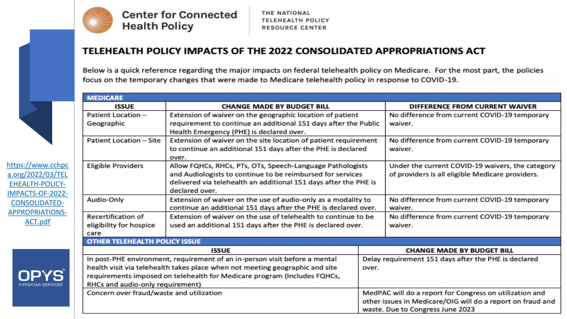

**Center for Connected Health Policy** 

#### TELEHEALTH POLICY IMPACTS OF THE 2022 CONSOLIDATED APPROPRIATIONS ACT

Below is a quick reference regarding the major impacts on federal telehealth policy on Medicare. For the most part, the policies focus on the temporary changes that were made to Medicare telehealth policy in response to COVID-19.

| <b>MEDICARE</b>                                               |                                                                                                                                   |                                                            |                                                  |  |  |  |  |  |
|---------------------------------------------------------------|-----------------------------------------------------------------------------------------------------------------------------------|------------------------------------------------------------|--------------------------------------------------|--|--|--|--|--|
| <b>ISSUE</b>                                                  | <b>CHANGE MADE BY BUDGET BILL</b>                                                                                                 | DIFFERENCE FROM CURRENT WAIVER                             |                                                  |  |  |  |  |  |
| Patient Location -                                            | Extension of waiver on the geographic location of patient                                                                         |                                                            | No difference from current COVID-19 temporary    |  |  |  |  |  |
| Geographic                                                    | requirement to continue an additional 151 days after the Public                                                                   |                                                            | waiver.                                          |  |  |  |  |  |
|                                                               | Health Emergency (PHE) is declared over.                                                                                          |                                                            |                                                  |  |  |  |  |  |
| Patient Location - Site                                       | Extension of waiver on the site location of patient requirement                                                                   |                                                            | No difference from current COVID-19 temporary    |  |  |  |  |  |
|                                                               | to continue an additional 151 days after the PHE is declared                                                                      |                                                            | waiver.                                          |  |  |  |  |  |
|                                                               | over.                                                                                                                             |                                                            |                                                  |  |  |  |  |  |
| https://www.cchpc<br><b>Eligible Providers</b>                | Allow FQHCs, RHCs, PTs, OTs, Speech-Language Pathologists                                                                         | Under the current COVID-19 waivers, the category           |                                                  |  |  |  |  |  |
| a.org/2022/03/TEL                                             | and Audiologists to continue to be reimbursed for services                                                                        |                                                            | of providers is all eligible Medicare providers. |  |  |  |  |  |
| <b>EHEALTH-POLICY-</b>                                        | delivered via telehealth an additional 151 days after the PHE is                                                                  |                                                            |                                                  |  |  |  |  |  |
| IMPACTS-OF-2022-                                              | declared over.                                                                                                                    |                                                            |                                                  |  |  |  |  |  |
| Audio-Only<br><b>CONSOLIDATED-</b>                            | Extension of waiver on the use of audio-only as a modality to                                                                     |                                                            | No difference from current COVID-19 temporary    |  |  |  |  |  |
| Recertification of                                            | continue an additional 151 days after the PHE is declared over.<br>Extension of waiver on the use of telehealth to continue to be | waiver.                                                    |                                                  |  |  |  |  |  |
|                                                               |                                                                                                                                   |                                                            | No difference from current COVID-19 temporary    |  |  |  |  |  |
| eligibility for hospice<br>care                               | used an additional 151 days after the PHE is declared over.                                                                       |                                                            | waiver.                                          |  |  |  |  |  |
| <b>OTHER TELEHEALTH POLICY ISSUE</b>                          |                                                                                                                                   |                                                            |                                                  |  |  |  |  |  |
|                                                               | <b>ISSUE</b><br><b>CHANGE MADE BY BUDGET BILL</b>                                                                                 |                                                            |                                                  |  |  |  |  |  |
|                                                               | In post-PHE environment, requirement of an in-person visit before a mental                                                        | Delay requirement 151 days after the PHE is declared       |                                                  |  |  |  |  |  |
|                                                               | health visit via telehealth takes place when not meeting geographic and site                                                      |                                                            | over.                                            |  |  |  |  |  |
| <b>OPYS</b>                                                   | requirements imposed on telehealth for Medicare program (Includes FQHCs,                                                          |                                                            |                                                  |  |  |  |  |  |
| RHCs and audio-only requirement)<br><b>PHYSICIAN SERVICES</b> |                                                                                                                                   |                                                            |                                                  |  |  |  |  |  |
| Concern over fraud/waste and utilization                      |                                                                                                                                   | MedPAC will do a report for Congress on utilization and    |                                                  |  |  |  |  |  |
|                                                               |                                                                                                                                   | other issues in Medicare/OIG will do a report on fraud and |                                                  |  |  |  |  |  |
|                                                               |                                                                                                                                   |                                                            | waste. Due to Congress June 2023                 |  |  |  |  |  |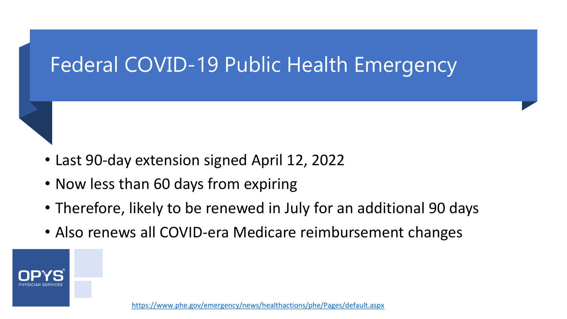### Federal COVID-19 Public Health Emergency

- Last 90-day extension signed April 12, 2022
- Now less than 60 days from expiring
- Therefore, likely to be renewed in July for an additional 90 days
- Also renews all COVID-era Medicare reimbursement changes